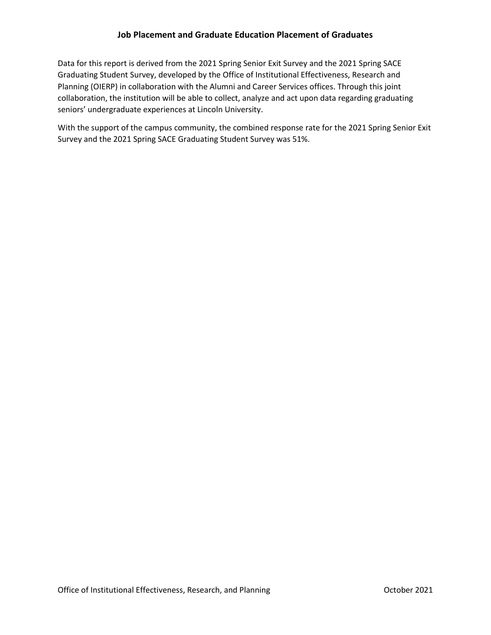## **Job Placement and Graduate Education Placement of Graduates**

Data for this report is derived from the 2021 Spring Senior Exit Survey and the 2021 Spring SACE Graduating Student Survey, developed by the Office of Institutional Effectiveness, Research and Planning (OIERP) in collaboration with the Alumni and Career Services offices. Through this joint collaboration, the institution will be able to collect, analyze and act upon data regarding graduating seniors' undergraduate experiences at Lincoln University.

With the support of the campus community, the combined response rate for the 2021 Spring Senior Exit Survey and the 2021 Spring SACE Graduating Student Survey was 51%.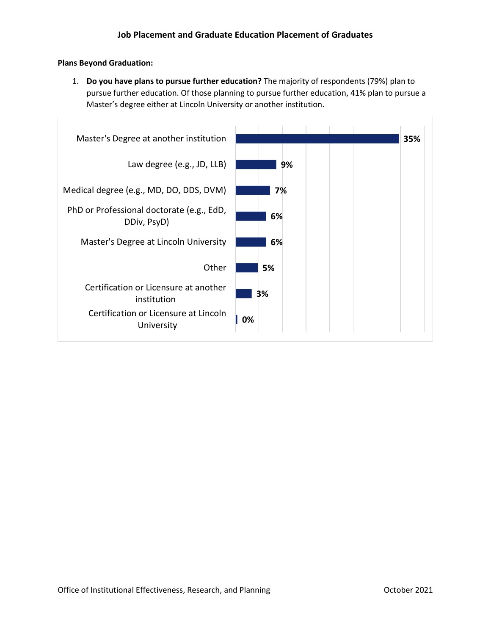## **Job Placement and Graduate Education Placement of Graduates**

## **Plans Beyond Graduation:**

1. **Do you have plans to pursue further education?** The majority of respondents (79%) plan to pursue further education. Of those planning to pursue further education, 41% plan to pursue a Master's degree either at Lincoln University or another institution.

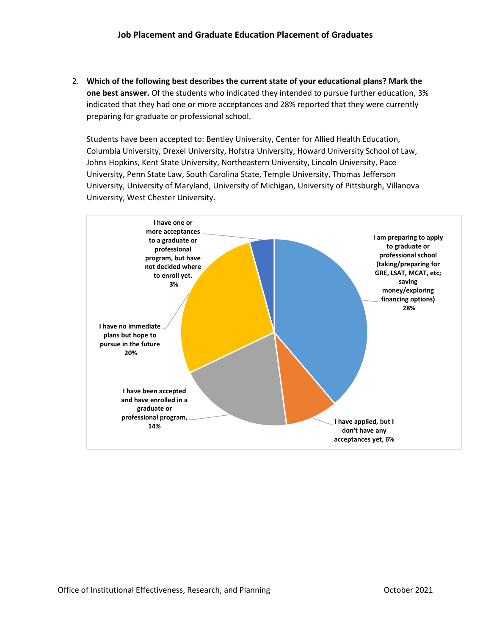2. **Which of the following best describes the current state of your educational plans? Mark the one best answer.** Of the students who indicated they intended to pursue further education, 3% indicated that they had one or more acceptances and 28% reported that they were currently preparing for graduate or professional school.

Students have been accepted to: Bentley University, Center for Allied Health Education, Columbia University, Drexel University, Hofstra University, Howard University School of Law, Johns Hopkins, Kent State University, Northeastern University, Lincoln University, Pace University, Penn State Law, South Carolina State, Temple University, Thomas Jefferson University, University of Maryland, University of Michigan, University of Pittsburgh, Villanova University, West Chester University.

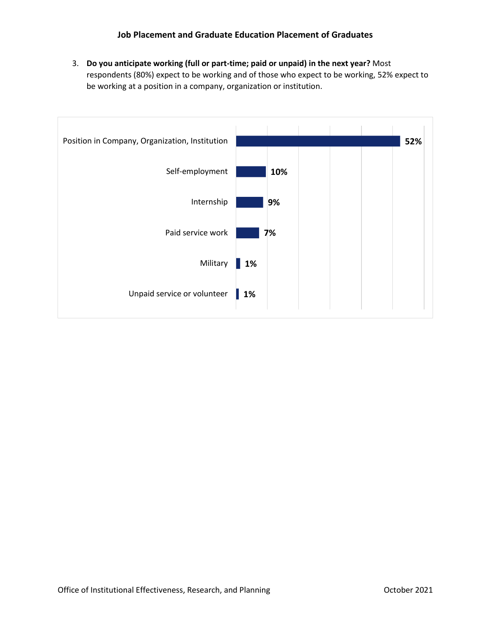## **Job Placement and Graduate Education Placement of Graduates**

3. **Do you anticipate working (full or part-time; paid or unpaid) in the next year?** Most respondents (80%) expect to be working and of those who expect to be working, 52% expect to be working at a position in a company, organization or institution.

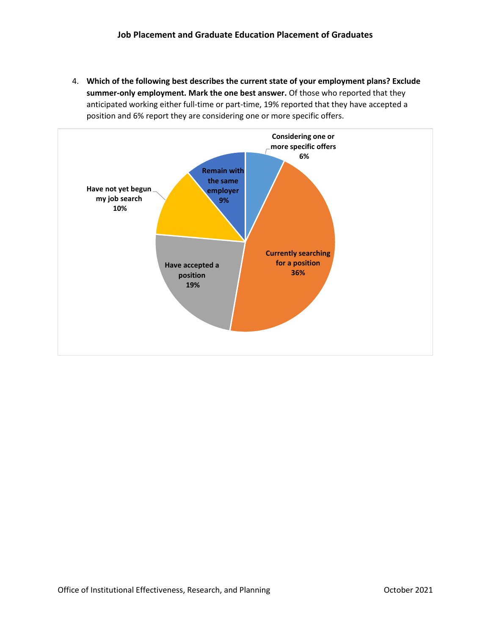4. **Which of the following best describes the current state of your employment plans? Exclude summer-only employment. Mark the one best answer.** Of those who reported that they anticipated working either full-time or part-time, 19% reported that they have accepted a position and 6% report they are considering one or more specific offers.